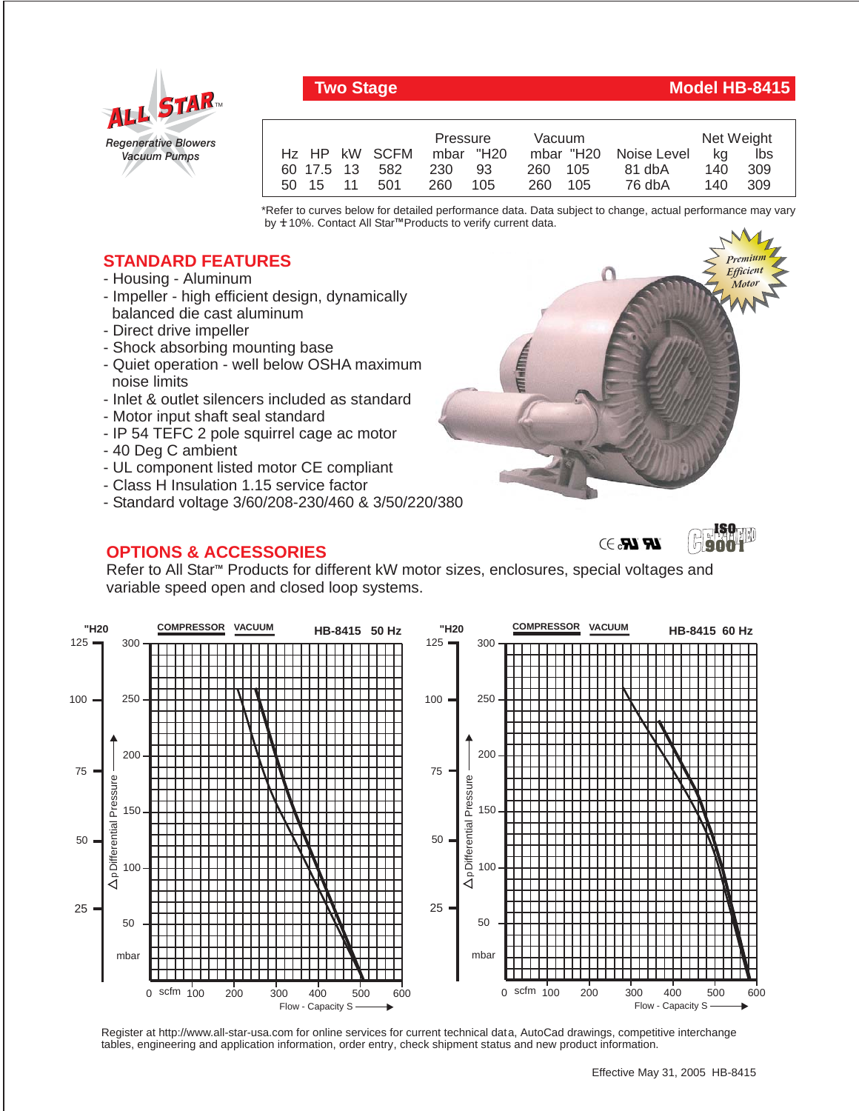

## **Two Stage Model HB-8415**

|                | Pressure<br>Vacuum |         |                       | Net Weight |      |  |
|----------------|--------------------|---------|-----------------------|------------|------|--|
| Hz HP kW SCFM  | mbar "H20          |         | mbar "H20 Noise Level | ka         | lbs  |  |
| 60 17.5 13 582 | 230 93             | 260 105 | 81 dbA                | 140        | -309 |  |
| 50 15 11 501   | 260<br>- 105       | 260 105 | 76 dbA                | 140        | -309 |  |

\*Refer to curves below for detailed performance data. Data subject to change, actual performance may vary by **+** 10%. Contact All Star™Products to verify current data.

## **STANDARD FEATURES**

- Housing Aluminum
- Impeller high efficient design, dynamically balanced die cast aluminum
- Direct drive impeller
- Shock absorbing mounting base
- Quiet operation well below OSHA maximum noise limits
- Inlet & outlet silencers included as standard
- Motor input shaft seal standard
- IP 54 TEFC 2 pole squirrel cage ac motor
- 40 Deg C ambient
- UL component listed motor CE compliant
- Class H Insulation 1.15 service factor
- Standard voltage 3/60/208-230/460 & 3/50/220/380

## **OPTIONS & ACCESSORIES**



 $\mathbb{R}$   $\mathbb{R}$   $\rightarrow$ 



Refer to All Star<sup>m</sup> Products for different kW motor sizes, enclosures, special voltages and variable speed open and closed loop systems.



Register at http://www.all-star-usa.com for online services for current technical data, AutoCad drawings, competitive interchange tables, engineering and application information, order entry, check shipment status and new product information.